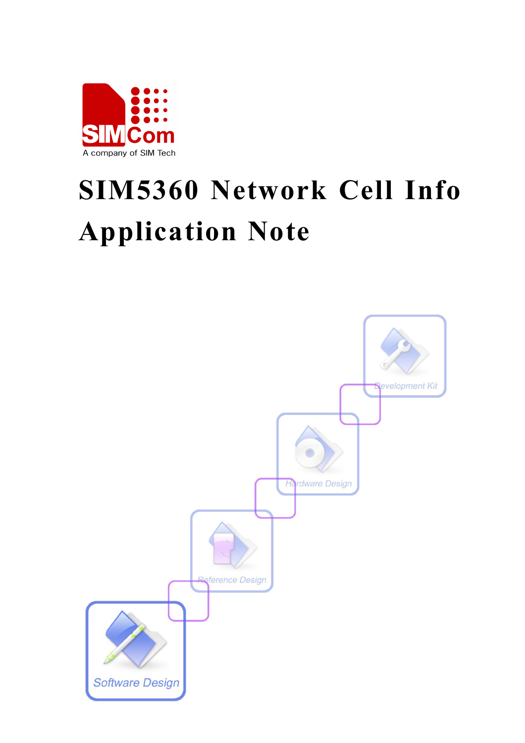

# **SIM5360 Network Cell Info Application Note**

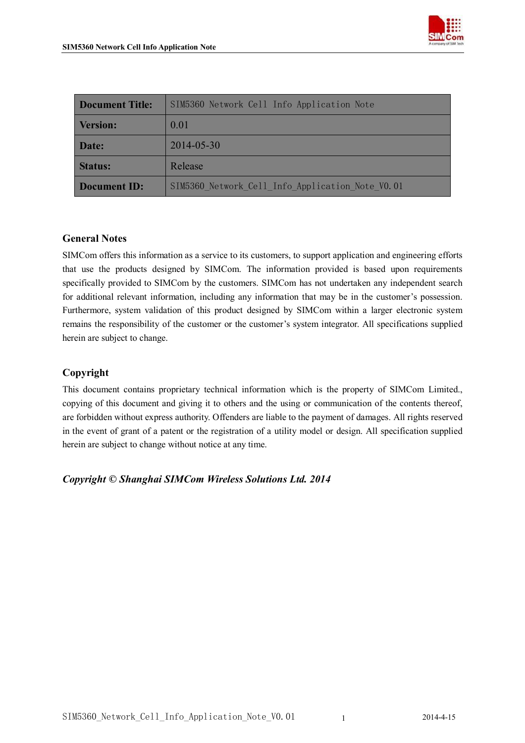

| <b>Document Title:</b> | SIM5360 Network Cell Info Application Note       |  |  |
|------------------------|--------------------------------------------------|--|--|
| <b>Version:</b>        | 0.01                                             |  |  |
| Date:                  | 2014-05-30                                       |  |  |
| <b>Status:</b>         | Release                                          |  |  |
| <b>Document ID:</b>    | SIM5360 Network Cell Info Application Note V0.01 |  |  |

#### **General Notes**

SIMCom offers this information as a service to its customers, to support application and engineering efforts that use the products designed by SIMCom. The information provided is based upon requirements specifically provided to SIMCom by the customers. SIMCom has not undertaken any independent search for additional relevant information, including any information that may be in the customer's possession. Furthermore, system validation of this product designed by SIMCom within a larger electronic system remains the responsibility of the customer or the customer's system integrator. All specifications supplied herein are subject to change.

#### **Copyright**

This document contains proprietary technical information which is the property of SIMCom Limited., copying of this document and giving it to others and the using or communication of the contents thereof, are forbidden without express authority. Offenders are liable to the payment of damages. All rights reserved in the event of grant of a patent or the registration of a utility model or design. All specification supplied herein are subject to change without notice at any time.

*Copyright © Shanghai SIMCom Wireless Solutions Ltd. 2014*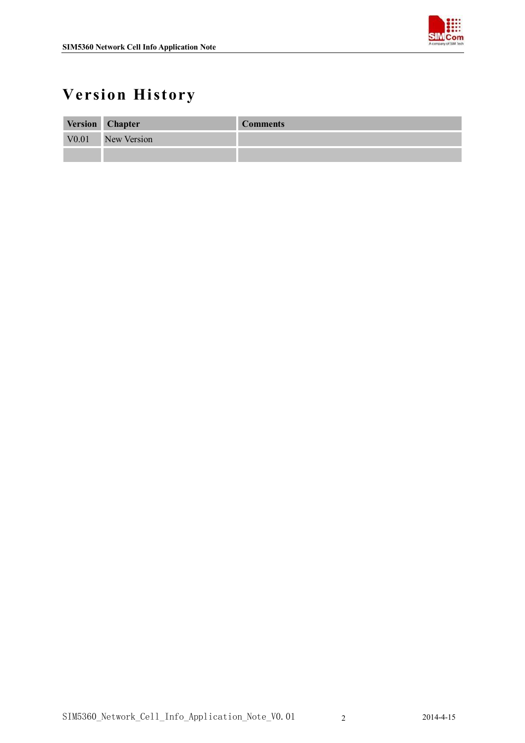

## **Version History**

|       | Version Chapter | <b>Comments</b> |
|-------|-----------------|-----------------|
| V0.01 | New Version     |                 |
|       |                 |                 |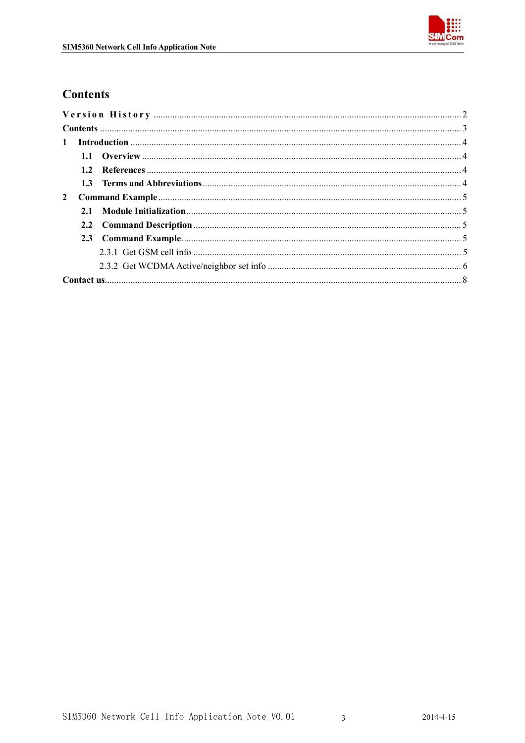

## **Contents**

| $\mathbf{1}$ |  |  |
|--------------|--|--|
|              |  |  |
|              |  |  |
|              |  |  |
| $\mathbf{2}$ |  |  |
|              |  |  |
|              |  |  |
|              |  |  |
|              |  |  |
|              |  |  |
|              |  |  |

 $\overline{3}$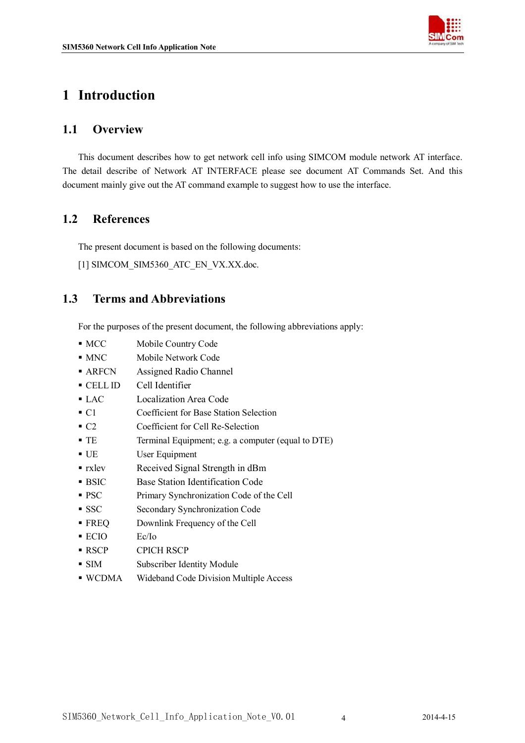

## **1 Introduction**

#### **1.1 Overview**

This document describes how to get network cell info using SIMCOM module network AT interface. The detail describe of Network AT INTERFACE please see document AT Commands Set. And this document mainly give out the AT command example to suggest how to use the interface.

## **1.2 References**

The present document is based on the following documents:

[1] SIMCOM\_SIM5360\_ATC\_EN\_VX.XX.doc.

#### **1.3 Terms and Abbreviations**

For the purposes of the present document, the following abbreviations apply:

- $MCC$  Mobile Country Code
- **MNC** Mobile Network Code
- ARFCN Assigned Radio Channel
- CELL ID Cell Identifier
- LAC Localization Area Code
- C1 Coefficient for Base Station Selection
- C2 Coefficient for Cell Re-Selection
- TE Terminal Equipment; e.g. a computer (equal to DTE)
- UE User Equipment
- **rxlev** Received Signal Strength in dBm
- **BSIC** Base Station Identification Code
- **PSC** Primary Synchronization Code of the Cell
- SSC Secondary Synchronization Code
- **FREQ** Downlink Frequency of the Cell
- ECIO Ec/Io
- RSCP CPICH RSCP
- SIM Subscriber Identity Module
- WCDMA Wideband Code Division Multiple Access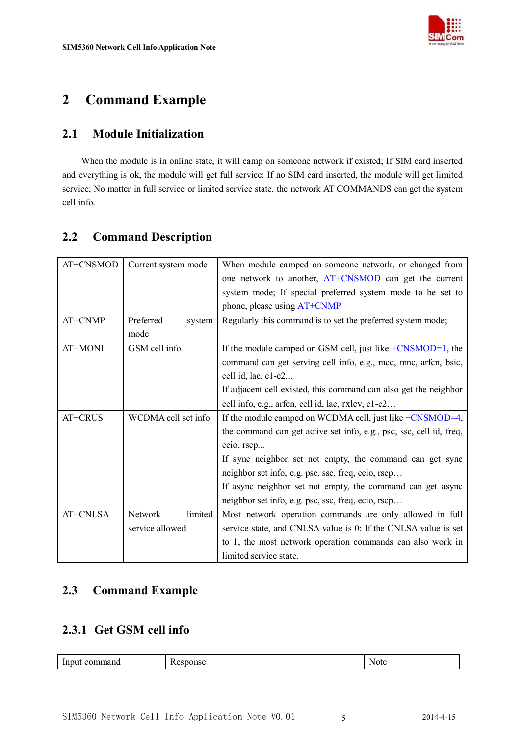

## **2 Command Example**

## **2.1 Module Initialization**

When the module is in online state, it will camp on someone network if existed; If SIM card inserted and everything is ok, the module will get full service; If no SIM card inserted, the module will get limited service; No matter in full service or limited service state, the network AT COMMANDS can get the system cell info.

## **2.2 Command Description**

| AT+CNSMOD | Current system mode | When module camped on someone network, or changed from              |  |  |
|-----------|---------------------|---------------------------------------------------------------------|--|--|
|           |                     | one network to another, AT+CNSMOD can get the current               |  |  |
|           |                     | system mode; If special preferred system mode to be set to          |  |  |
|           |                     | phone, please using AT+CNMP                                         |  |  |
| AT+CNMP   | Preferred<br>system | Regularly this command is to set the preferred system mode;         |  |  |
|           | mode                |                                                                     |  |  |
| AT+MONI   | GSM cell info       | If the module camped on GSM cell, just like $+CNSMOD=1$ , the       |  |  |
|           |                     | command can get serving cell info, e.g., mcc, mnc, arfen, bsic,     |  |  |
|           |                     | cell id, lac, c1-c2                                                 |  |  |
|           |                     | If adjacent cell existed, this command can also get the neighbor    |  |  |
|           |                     | cell info, e.g., arfen, cell id, lac, rxlev, c1-c2                  |  |  |
| AT+CRUS   | WCDMA cell set info | If the module camped on WCDMA cell, just like +CNSMOD=4,            |  |  |
|           |                     | the command can get active set info, e.g., psc, ssc, cell id, freq, |  |  |
|           |                     | ecio, rscp                                                          |  |  |
|           |                     | If sync neighbor set not empty, the command can get sync            |  |  |
|           |                     | neighbor set info, e.g. psc, ssc, freq, ecio, rscp                  |  |  |
|           |                     | If async neighbor set not empty, the command can get async          |  |  |
|           |                     | neighbor set info, e.g. psc, ssc, freq, ecio, rscp                  |  |  |
| AT+CNLSA  | Network<br>limited  | Most network operation commands are only allowed in full            |  |  |
|           | service allowed     | service state, and CNLSA value is 0; If the CNLSA value is set      |  |  |
|           |                     | to 1, the most network operation commands can also work in          |  |  |
|           |                     | limited service state.                                              |  |  |

## **2.3 Command Example**

#### **2.3.1 Get GSM cell info**

| -<br> | n |
|-------|---|
|       |   |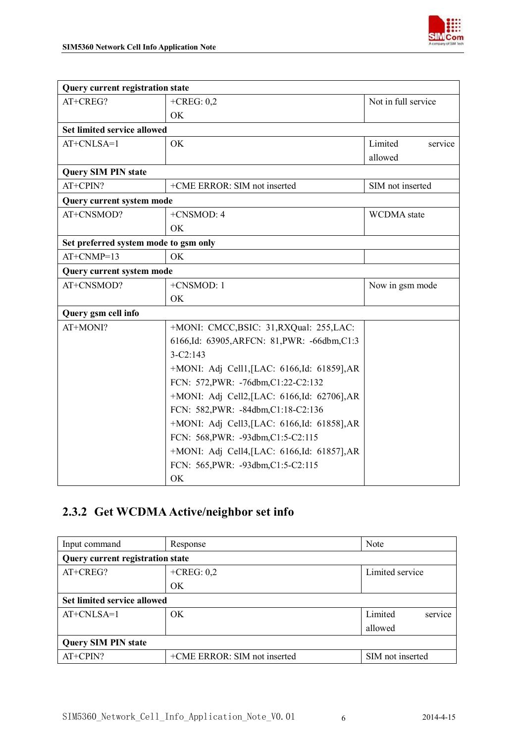

| <b>Query current registration state</b> |                                              |                     |  |
|-----------------------------------------|----------------------------------------------|---------------------|--|
| AT+CREG?                                | $+$ CREG: 0,2                                | Not in full service |  |
|                                         | OK                                           |                     |  |
| <b>Set limited service allowed</b>      |                                              |                     |  |
| AT+CNLSA=1                              | OK                                           | Limited<br>service  |  |
|                                         |                                              | allowed             |  |
| <b>Query SIM PIN state</b>              |                                              |                     |  |
| AT+CPIN?                                | +CME ERROR: SIM not inserted                 | SIM not inserted    |  |
| Query current system mode               |                                              |                     |  |
| AT+CNSMOD?                              | $+CNSMOD:4$                                  | <b>WCDMA</b> state  |  |
|                                         | <b>OK</b>                                    |                     |  |
| Set preferred system mode to gsm only   |                                              |                     |  |
| $AT+CNMP=13$                            | OK                                           |                     |  |
| Query current system mode               |                                              |                     |  |
| AT+CNSMOD?                              | +CNSMOD: 1                                   | Now in gsm mode     |  |
|                                         | <b>OK</b>                                    |                     |  |
| Query gsm cell info                     |                                              |                     |  |
| AT+MONI?                                | +MONI: CMCC, BSIC: 31, RXQual: 255, LAC:     |                     |  |
|                                         | 6166,Id: 63905,ARFCN: 81,PWR: -66dbm,C1:3    |                     |  |
|                                         | $3-C2:143$                                   |                     |  |
|                                         | +MONI: Adj Cell1, [LAC: 6166, Id: 61859], AR |                     |  |
|                                         | FCN: 572, PWR: -76dbm, C1:22-C2:132          |                     |  |
|                                         | +MONI: Adj Cell2, [LAC: 6166, Id: 62706], AR |                     |  |
|                                         | FCN: 582, PWR: -84dbm, C1:18-C2:136          |                     |  |
|                                         | +MONI: Adj Cell3, [LAC: 6166, Id: 61858], AR |                     |  |
|                                         | FCN: 568, PWR: -93dbm, C1:5-C2:115           |                     |  |
|                                         | +MONI: Adj Cell4, [LAC: 6166, Id: 61857], AR |                     |  |
|                                         | FCN: 565, PWR: -93dbm, C1:5-C2:115           |                     |  |
|                                         | OK                                           |                     |  |

## **2.3.2 Get WCDMA Active/neighbor set info**

| Input command                           | Response                         | Note               |  |
|-----------------------------------------|----------------------------------|--------------------|--|
| <b>Query current registration state</b> |                                  |                    |  |
| AT+CREG?                                | $+$ CREG: 0,2<br>Limited service |                    |  |
|                                         | <b>OK</b>                        |                    |  |
| <b>Set limited service allowed</b>      |                                  |                    |  |
| $AT+CNLSA=1$                            | OK.                              | service<br>Limited |  |
|                                         |                                  | allowed            |  |
| <b>Query SIM PIN state</b>              |                                  |                    |  |
| AT+CPIN?                                | +CME ERROR: SIM not inserted     | SIM not inserted   |  |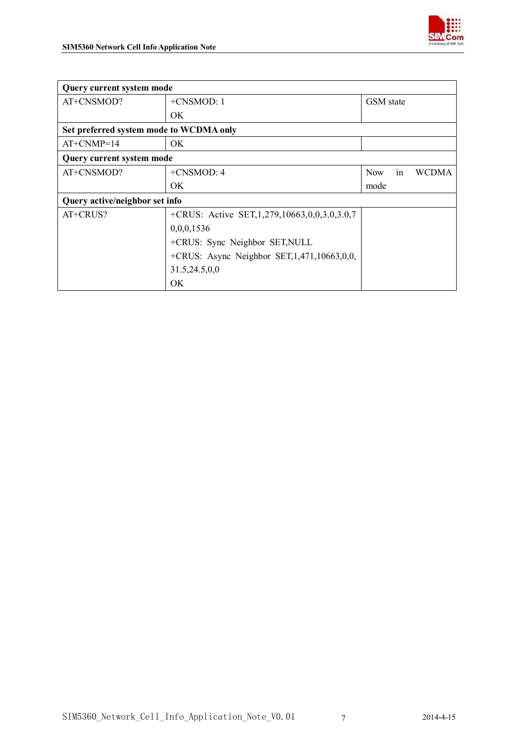

| Query current system mode        |                                                       |                                  |  |  |
|----------------------------------|-------------------------------------------------------|----------------------------------|--|--|
| AT+CNSMOD?                       | +CNSMOD: 1                                            | GSM state                        |  |  |
|                                  | <b>OK</b>                                             |                                  |  |  |
|                                  | Set preferred system mode to WCDMA only               |                                  |  |  |
| $AT+CNMP=14$                     | OK.                                                   |                                  |  |  |
| <b>Query current system mode</b> |                                                       |                                  |  |  |
| AT+CNSMOD?                       | $+CNSMOD: 4$                                          | in<br><b>WCDMA</b><br><b>Now</b> |  |  |
|                                  | OK                                                    | mode                             |  |  |
|                                  | Query active/neighbor set info                        |                                  |  |  |
| AT+CRUS?                         | +CRUS: Active SET, 1, 279, 10663, 0, 0, 3, 0, 3, 0, 7 |                                  |  |  |
|                                  | 0,0,0,1536                                            |                                  |  |  |
|                                  | +CRUS: Sync Neighbor SET, NULL                        |                                  |  |  |
|                                  | +CRUS: Async Neighbor SET, 1,471, 10663, 0, 0,        |                                  |  |  |
|                                  | 31.5,24.5,0,0                                         |                                  |  |  |
|                                  | OK                                                    |                                  |  |  |